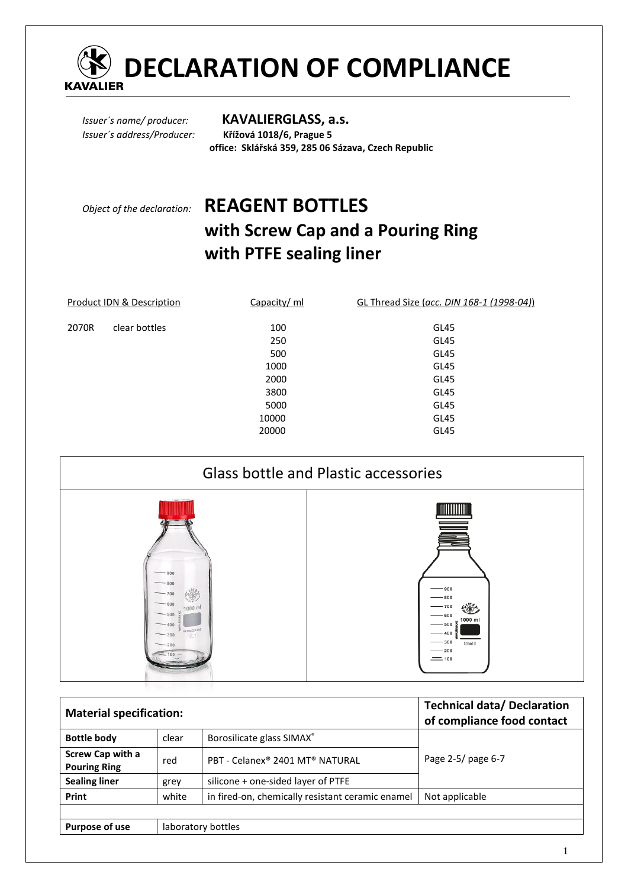

**COMPLIANCE** 

*Issuer´s name/ producer:* **KAVALIERGLASS, a.s.** *Issuer´s address/Producer:* **Křížová 1018/6, Prague 5 office: Sklářská 359, 285 06 Sázava, Czech Republic** 

# *Object of the declaration:* **REAGENT BOTTLES with Screw Cap and a Pouring Ring with PTFE sealing liner**

| Product IDN & Description |               | Capacity/ ml | GL Thread Size (acc. DIN 168-1 (1998-04)) |
|---------------------------|---------------|--------------|-------------------------------------------|
| 2070R                     | clear bottles | 100<br>250   | GL45<br>GL45                              |
|                           |               | 500          | GL45                                      |
|                           |               | 1000         | GL45                                      |
|                           |               | 2000         | GL45                                      |
|                           |               | 3800         | GL45                                      |
|                           |               | 5000         | GL45                                      |
|                           |               | 10000        | GL45                                      |
|                           |               | 20000        | GL45                                      |



| <b>Material specification:</b>          |       |                                                  | <b>Technical data/ Declaration</b><br>of compliance food contact |
|-----------------------------------------|-------|--------------------------------------------------|------------------------------------------------------------------|
| <b>Bottle body</b>                      | clear | Borosilicate glass SIMAX®                        |                                                                  |
| Screw Cap with a<br><b>Pouring Ring</b> | red   | PBT - Celanex® 2401 MT® NATURAL                  | Page 2-5/ page 6-7                                               |
| <b>Sealing liner</b>                    | grey  | silicone + one-sided layer of PTFE               |                                                                  |
| Print                                   | white | in fired-on, chemically resistant ceramic enamel | Not applicable                                                   |
|                                         |       |                                                  |                                                                  |
| <b>Purpose of use</b>                   |       | laboratory bottles                               |                                                                  |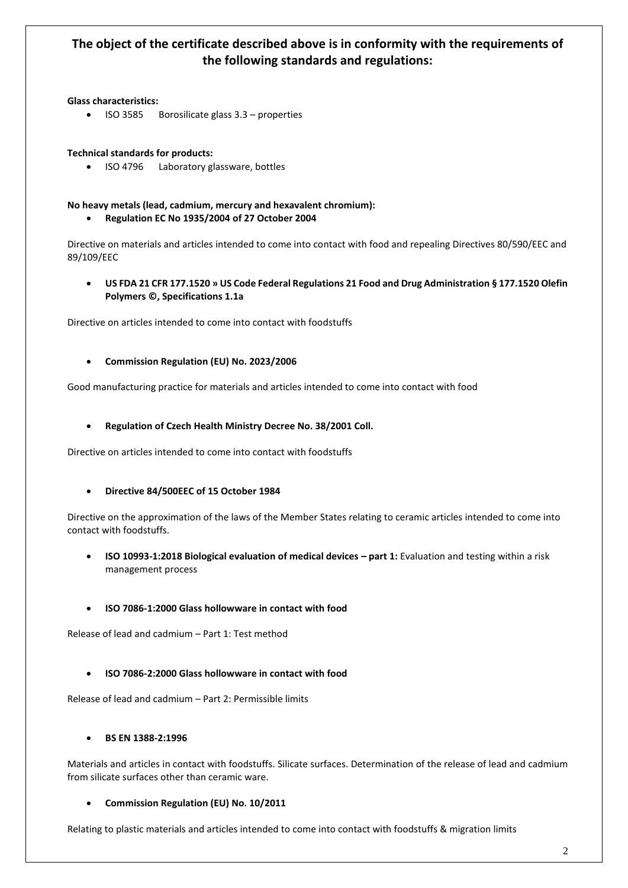### **The object of the certificate described above is in conformity with the requirements of the following standards and regulations:**

#### **Glass characteristics:**

• ISO 3585 Borosilicate glass 3.3 – properties

#### **Technical standards for products:**

• ISO 4796 Laboratory glassware, bottles

### **No heavy metals (lead, cadmium, mercury and hexavalent chromium):**

#### • **Regulation EC No 1935/2004 of 27 October 2004**

Directive on materials and articles intended to come into contact with food and repealing Directives 80/590/EEC and 89/109/EEC

• **US FDA 21 CFR 177.1520 » US Code Federal Regulations 21 Food and Drug Administration § 177.1520 Olefin Polymers ©, Specifications 1.1a** 

Directive on articles intended to come into contact with foodstuffs

#### • **Commission Regulation (EU) No. 2023/2006**

Good manufacturing practice for materials and articles intended to come into contact with food

#### • **Regulation of Czech Health Ministry Decree No. 38/2001 Coll.**

Directive on articles intended to come into contact with foodstuffs

#### • **Directive 84/500EEC of 15 October 1984**

Directive on the approximation of the laws of the Member States relating to ceramic articles intended to come into contact with foodstuffs.

• **ISO 10993-1:2018 Biological evaluation of medical devices – part 1:** Evaluation and testing within a risk management process

#### • **ISO 7086-1:2000 Glass hollowware in contact with food**

Release of lead and cadmium – Part 1: Test method

#### • **ISO 7086-2:2000 Glass hollowware in contact with food**

Release of lead and cadmium – Part 2: Permissible limits

#### • **BS EN 1388-2:1996**

Materials and articles in contact with foodstuffs. Silicate surfaces. Determination of the release of lead and cadmium from silicate surfaces other than ceramic ware.

#### • **Commission Regulation (EU) No. 10/2011**

Relating to plastic materials and articles intended to come into contact with foodstuffs & migration limits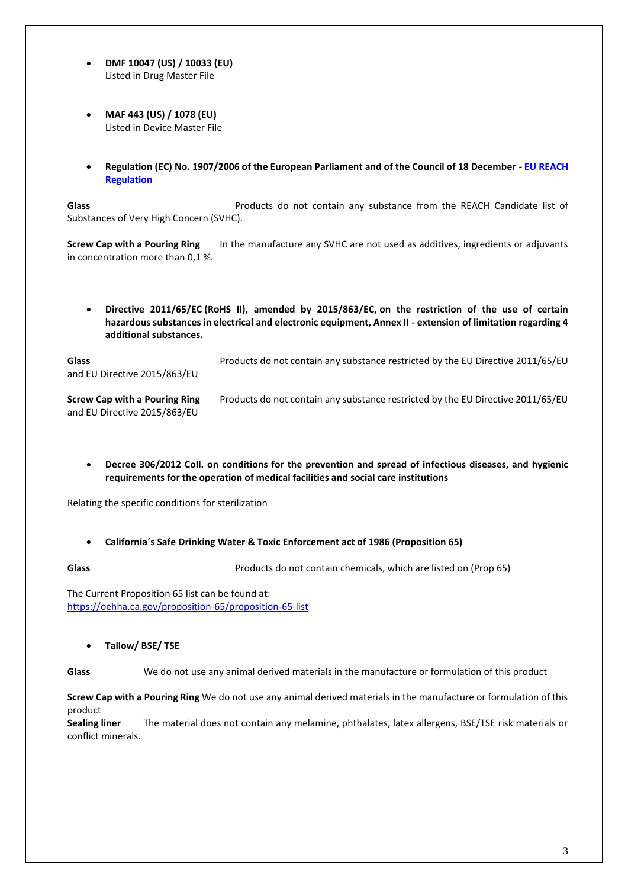- **DMF 10047 (US) / 10033 (EU)**  Listed in Drug Master File
- **MAF 443 (US) / 1078 (EU)**  Listed in Device Master File
- **Regulation (EC) No. 1907/2006 of the European Parliament and of the Council of 18 December - [EU REACH](http://www.chemsafetypro.com/Topics/EU/REACH_Regulation_EC_No_1907_2006.html)  [Regulation](http://www.chemsafetypro.com/Topics/EU/REACH_Regulation_EC_No_1907_2006.html)**

**Glass** Products do not contain any substance from the REACH Candidate list of Substances of Very High Concern (SVHC).

**Screw Cap with a Pouring Ring** In the manufacture any SVHC are not used as additives, ingredients or adjuvants in concentration more than 0,1 %.

• **Directive 2011/65/EC (RoHS II), amended by 2015/863/EC, on the restriction of the use of certain hazardous substances in electrical and electronic equipment, Annex II - extension of limitation regarding 4 additional substances.**

**Glass** Products do not contain any substance restricted by the EU Directive 2011/65/EU and EU Directive 2015/863/EU

and EU Directive 2015/863/EU

**Screw Cap with a Pouring Ring** Products do not contain any substance restricted by the EU Directive 2011/65/EU

• **Decree 306/2012 Coll. on conditions for the prevention and spread of infectious diseases, and hygienic requirements for the operation of medical facilities and social care institutions**

Relating the specific conditions for sterilization

• **California´s Safe Drinking Water & Toxic Enforcement act of 1986 (Proposition 65)**

**Glass** Products do not contain chemicals, which are listed on (Prop 65)

The Current Proposition 65 list can be found at: <https://oehha.ca.gov/proposition-65/proposition-65-list>

• **Tallow/ BSE/ TSE**

**Glass** We do not use any animal derived materials in the manufacture or formulation of this product

**Screw Cap with a Pouring Ring** We do not use any animal derived materials in the manufacture or formulation of this product

**Sealing liner** The material does not contain any melamine, phthalates, latex allergens, BSE/TSE risk materials or conflict minerals.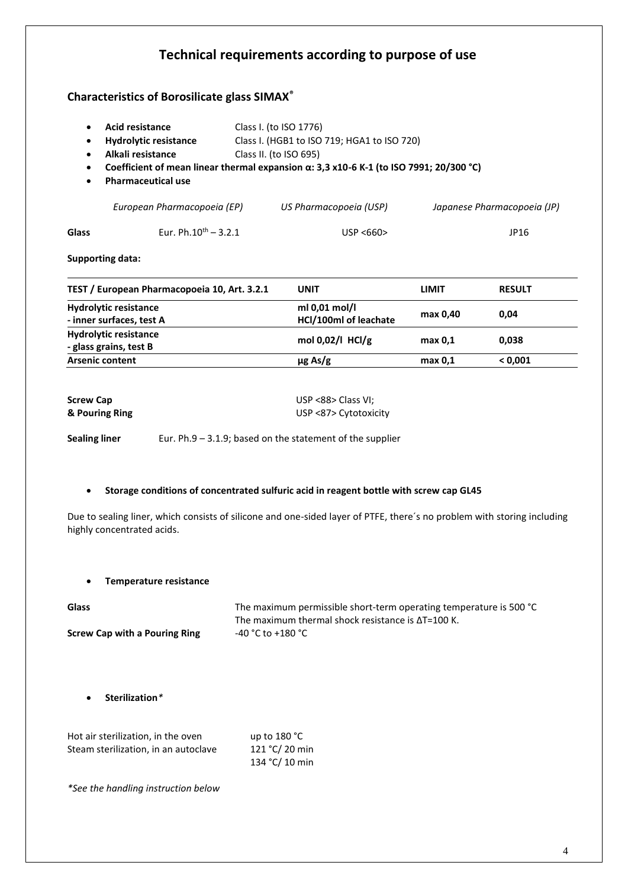| <b>Characteristics of Borosilicate glass SIMAX®</b>                                                                                                                       |                            |                                                                                                                                                                                                                   |              |                             |
|---------------------------------------------------------------------------------------------------------------------------------------------------------------------------|----------------------------|-------------------------------------------------------------------------------------------------------------------------------------------------------------------------------------------------------------------|--------------|-----------------------------|
| <b>Acid resistance</b><br>$\bullet$<br><b>Hydrolytic resistance</b><br>$\bullet$<br>Alkali resistance<br>$\bullet$<br>$\bullet$<br><b>Pharmaceutical use</b><br>$\bullet$ |                            | Class I. (to ISO 1776)<br>Class I. (HGB1 to ISO 719; HGA1 to ISO 720)<br>Class II. (to ISO 695)<br>Coefficient of mean linear thermal expansion $\alpha$ : 3,3 x10-6 K-1 (to ISO 7991; 20/300 °C)                 |              |                             |
| European Pharmacopoeia (EP)                                                                                                                                               |                            | US Pharmacopoeia (USP)                                                                                                                                                                                            |              | Japanese Pharmacopoeia (JP) |
| <b>Glass</b>                                                                                                                                                              | Eur. Ph. $10^{th} - 3.2.1$ | USP <660>                                                                                                                                                                                                         |              | JP16                        |
| <b>Supporting data:</b>                                                                                                                                                   |                            |                                                                                                                                                                                                                   |              |                             |
| TEST / European Pharmacopoeia 10, Art. 3.2.1                                                                                                                              |                            | <b>UNIT</b>                                                                                                                                                                                                       | <b>LIMIT</b> | <b>RESULT</b>               |
| <b>Hydrolytic resistance</b><br>- inner surfaces, test A                                                                                                                  |                            | ml 0,01 mol/l<br>HCl/100ml of leachate                                                                                                                                                                            | max 0,40     | 0,04                        |
| <b>Hydrolytic resistance</b><br>- glass grains, test B                                                                                                                    |                            | mol 0,02/l HCl/g                                                                                                                                                                                                  | max 0,1      | 0,038                       |
| <b>Arsenic content</b>                                                                                                                                                    |                            | $\mu$ g As/g                                                                                                                                                                                                      | max 0,1      | < 0,001                     |
|                                                                                                                                                                           |                            | USP <88> Class VI;<br>USP <87> Cytotoxicity<br>Eur. Ph.9 - 3.1.9; based on the statement of the supplier                                                                                                          |              |                             |
|                                                                                                                                                                           |                            | Storage conditions of concentrated sulfuric acid in reagent bottle with screw cap GL45<br>Due to sealing liner, which consists of silicone and one-sided layer of PTFE, there's no problem with storing including |              |                             |
| <b>Temperature resistance</b>                                                                                                                                             |                            |                                                                                                                                                                                                                   |              |                             |
| <b>Screw Cap</b><br>& Pouring Ring<br><b>Sealing liner</b><br>highly concentrated acids.<br><b>Glass</b>                                                                  |                            | The maximum permissible short-term operating temperature is 500 °C<br>The maximum thermal shock resistance is $\Delta T = 100$ K.                                                                                 |              |                             |
| <b>Screw Cap with a Pouring Ring</b>                                                                                                                                      |                            | -40 °C to +180 °C                                                                                                                                                                                                 |              |                             |
| Sterilization*<br>$\bullet$                                                                                                                                               |                            |                                                                                                                                                                                                                   |              |                             |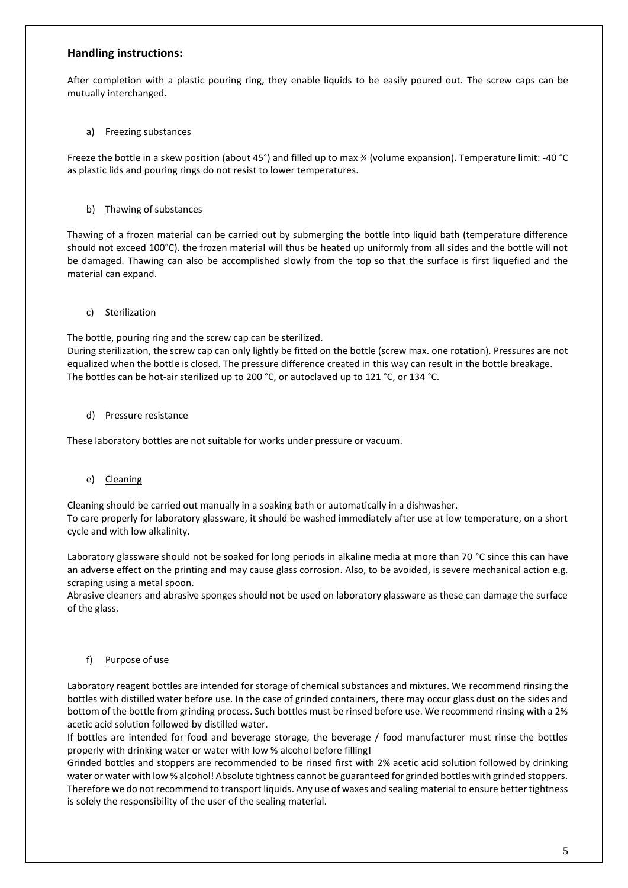#### **Handling instructions:**

After completion with a plastic pouring ring, they enable liquids to be easily poured out. The screw caps can be mutually interchanged.

#### a) Freezing substances

Freeze the bottle in a skew position (about 45°) and filled up to max ¾ (volume expansion). Temperature limit: -40 °C as plastic lids and pouring rings do not resist to lower temperatures.

#### b) Thawing of substances

Thawing of a frozen material can be carried out by submerging the bottle into liquid bath (temperature difference should not exceed 100°C). the frozen material will thus be heated up uniformly from all sides and the bottle will not be damaged. Thawing can also be accomplished slowly from the top so that the surface is first liquefied and the material can expand.

#### c) Sterilization

The bottle, pouring ring and the screw cap can be sterilized.

During sterilization, the screw cap can only lightly be fitted on the bottle (screw max. one rotation). Pressures are not equalized when the bottle is closed. The pressure difference created in this way can result in the bottle breakage. The bottles can be hot-air sterilized up to 200 °C, or autoclaved up to 121 °C, or 134 °C.

#### d) Pressure resistance

These laboratory bottles are not suitable for works under pressure or vacuum.

#### e) Cleaning

Cleaning should be carried out manually in a soaking bath or automatically in a dishwasher. To care properly for laboratory glassware, it should be washed immediately after use at low temperature, on a short cycle and with low alkalinity.

Laboratory glassware should not be soaked for long periods in alkaline media at more than 70 °C since this can have an adverse effect on the printing and may cause glass corrosion. Also, to be avoided, is severe mechanical action e.g. scraping using a metal spoon.

Abrasive cleaners and abrasive sponges should not be used on laboratory glassware as these can damage the surface of the glass.

#### f) Purpose of use

Laboratory reagent bottles are intended for storage of chemical substances and mixtures. We recommend rinsing the bottles with distilled water before use. In the case of grinded containers, there may occur glass dust on the sides and bottom of the bottle from grinding process. Such bottles must be rinsed before use. We recommend rinsing with a 2% acetic acid solution followed by distilled water.

If bottles are intended for food and beverage storage, the beverage / food manufacturer must rinse the bottles properly with drinking water or water with low % alcohol before filling!

Grinded bottles and stoppers are recommended to be rinsed first with 2% acetic acid solution followed by drinking water or water with low % alcohol! Absolute tightness cannot be guaranteed for grinded bottles with grinded stoppers. Therefore we do not recommend to transport liquids. Any use of waxes and sealing material to ensure better tightness is solely the responsibility of the user of the sealing material.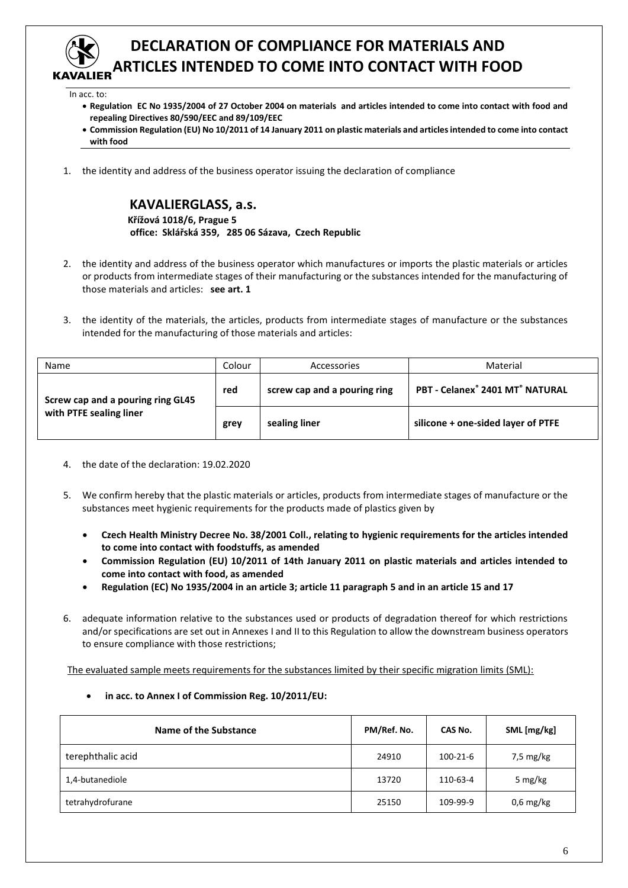

## **DECLARATION OF COMPLIANCE FOR MATERIALS AND ARTICLES INTENDED TO COME INTO CONTACT WITH FOOD**

In acc. to:

- **Regulation EC No 1935/2004 of 27 October 2004 on materials and articles intended to come into contact with food and repealing Directives 80/590/EEC and 89/109/EEC**
- **Commission Regulation (EU) No 10/2011 of 14 January 2011 on plastic materials and articles intended to come into contact with food**
- 1. the identity and address of the business operator issuing the declaration of compliance

#### **KAVALIERGLASS, a.s.**

 **Křížová 1018/6, Prague 5 office: Sklářská 359, 285 06 Sázava, Czech Republic** 

- 2. the identity and address of the business operator which manufactures or imports the plastic materials or articles or products from intermediate stages of their manufacturing or the substances intended for the manufacturing of those materials and articles: **see art. 1**
- 3. the identity of the materials, the articles, products from intermediate stages of manufacture or the substances intended for the manufacturing of those materials and articles:

| Name                              | Colour | <b>Accessories</b>           | Material                                                |
|-----------------------------------|--------|------------------------------|---------------------------------------------------------|
| Screw cap and a pouring ring GL45 | red    | screw cap and a pouring ring | PBT - Celanex <sup>®</sup> 2401 MT <sup>®</sup> NATURAL |
| with PTFE sealing liner           | grey   | sealing liner                | silicone + one-sided layer of PTFE                      |

- 4. the date of the declaration: 19.02.2020
- 5. We confirm hereby that the plastic materials or articles, products from intermediate stages of manufacture or the substances meet hygienic requirements for the products made of plastics given by
	- **Czech Health Ministry Decree No. 38/2001 Coll., relating to hygienic requirements for the articles intended to come into contact with foodstuffs, as amended**
	- **Commission Regulation (EU) 10/2011 of 14th January 2011 on plastic materials and articles intended to come into contact with food, as amended**
	- **Regulation (EC) No 1935/2004 in an article 3; article 11 paragraph 5 and in an article 15 and 17**
- 6. adequate information relative to the substances used or products of degradation thereof for which restrictions and/or specifications are set out in Annexes I and II to this Regulation to allow the downstream business operators to ensure compliance with those restrictions;

The evaluated sample meets requirements for the substances limited by their specific migration limits (SML):

• **in acc. to Annex I of Commission Reg. 10/2011/EU:**

| Name of the Substance | PM/Ref. No. | CAS No.  | SML [mg/kg] |
|-----------------------|-------------|----------|-------------|
| terephthalic acid     | 24910       | 100-21-6 | 7,5 mg/kg   |
| 1,4-butanediole       | 13720       | 110-63-4 | 5 mg/kg     |
| tetrahydrofurane      | 25150       | 109-99-9 | $0,6$ mg/kg |